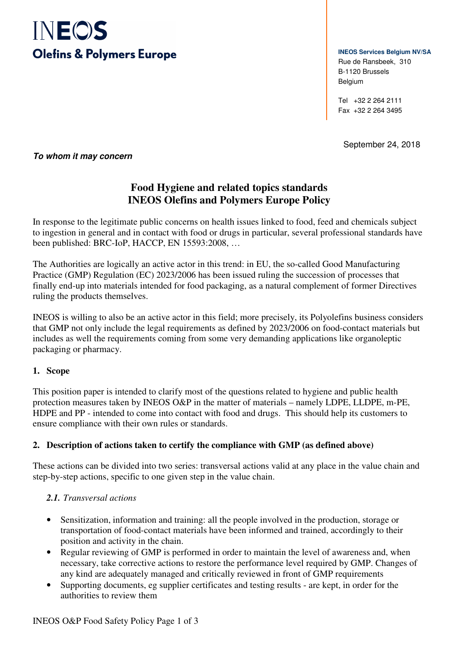

**INEOS Services Belgium NV/SA** Rue de Ransbeek, 310 B-1120 Brussels Belgium

Tel +32 2 264 2111 Fax +32 2 264 3495

September 24, 2018

**To whom it may concern** 

# **Food Hygiene and related topics standards INEOS Olefins and Polymers Europe Policy**

In response to the legitimate public concerns on health issues linked to food, feed and chemicals subject to ingestion in general and in contact with food or drugs in particular, several professional standards have been published: BRC-IoP, HACCP, EN 15593:2008, …

The Authorities are logically an active actor in this trend: in EU, the so-called Good Manufacturing Practice (GMP) Regulation (EC) 2023/2006 has been issued ruling the succession of processes that finally end-up into materials intended for food packaging, as a natural complement of former Directives ruling the products themselves.

INEOS is willing to also be an active actor in this field; more precisely, its Polyolefins business considers that GMP not only include the legal requirements as defined by 2023/2006 on food-contact materials but includes as well the requirements coming from some very demanding applications like organoleptic packaging or pharmacy.

### **1. Scope**

This position paper is intended to clarify most of the questions related to hygiene and public health protection measures taken by INEOS O&P in the matter of materials – namely LDPE, LLDPE, m-PE, HDPE and PP - intended to come into contact with food and drugs. This should help its customers to ensure compliance with their own rules or standards.

### **2. Description of actions taken to certify the compliance with GMP (as defined above)**

These actions can be divided into two series: transversal actions valid at any place in the value chain and step-by-step actions, specific to one given step in the value chain.

### *2.1. Transversal actions*

- Sensitization, information and training: all the people involved in the production, storage or transportation of food-contact materials have been informed and trained, accordingly to their position and activity in the chain.
- Regular reviewing of GMP is performed in order to maintain the level of awareness and, when necessary, take corrective actions to restore the performance level required by GMP. Changes of any kind are adequately managed and critically reviewed in front of GMP requirements
- Supporting documents, eg supplier certificates and testing results are kept, in order for the authorities to review them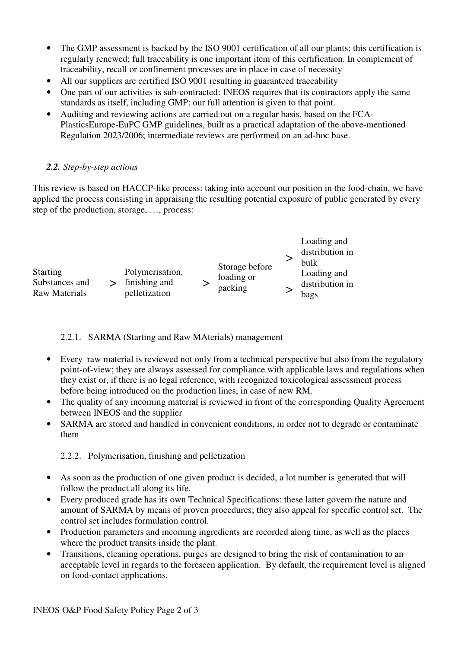- The GMP assessment is backed by the ISO 9001 certification of all our plants; this certification is regularly renewed; full traceability is one important item of this certification. In complement of traceability, recall or confinement processes are in place in case of necessity
- All our suppliers are certified ISO 9001 resulting in guaranteed traceability
- One part of our activities is sub-contracted: INEOS requires that its contractors apply the same standards as itself, including GMP; our full attention is given to that point.
- Auditing and reviewing actions are carried out on a regular basis, based on the FCA-PlasticsEurope-EuPC GMP guidelines, built as a practical adaptation of the above-mentioned Regulation 2023/2006; intermediate reviews are performed on an ad-hoc base.

## *2.2. Step-by-step actions*

This review is based on HACCP-like process: taking into account our position in the food-chain, we have applied the process consisting in appraising the resulting potential exposure of public generated by every step of the production, storage, …, process:

| Storage before<br>Loading and<br>loading or<br>distribution in<br>packing<br>bags |      |
|-----------------------------------------------------------------------------------|------|
|                                                                                   | bulk |

### 2.2.1. SARMA (Starting and Raw MAterials) management

- Every raw material is reviewed not only from a technical perspective but also from the regulatory point-of-view; they are always assessed for compliance with applicable laws and regulations when they exist or, if there is no legal reference, with recognized toxicological assessment process before being introduced on the production lines, in case of new RM.
- The quality of any incoming material is reviewed in front of the corresponding Quality Agreement between INEOS and the supplier
- SARMA are stored and handled in convenient conditions, in order not to degrade or contaminate them

2.2.2. Polymerisation, finishing and pelletization

- As soon as the production of one given product is decided, a lot number is generated that will follow the product all along its life.
- Every produced grade has its own Technical Specifications: these latter govern the nature and amount of SARMA by means of proven procedures; they also appeal for specific control set. The control set includes formulation control.
- Production parameters and incoming ingredients are recorded along time, as well as the places where the product transits inside the plant.
- Transitions, cleaning operations, purges are designed to bring the risk of contamination to an acceptable level in regards to the foreseen application. By default, the requirement level is aligned on food-contact applications.